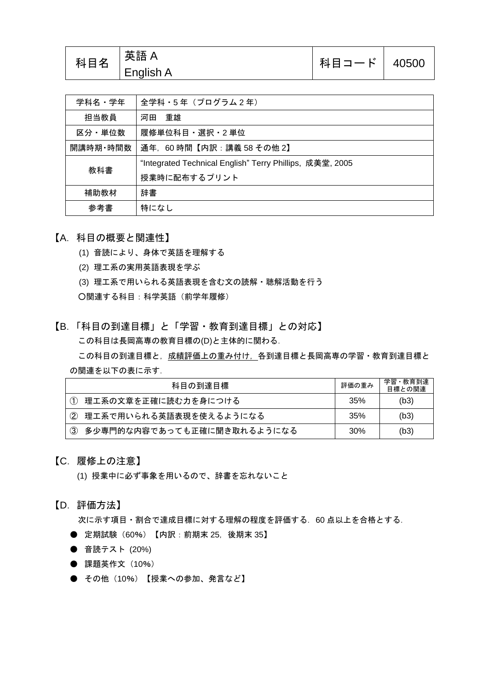| 科目名 | 「英語 A            | 科目コード   40500 |  |
|-----|------------------|---------------|--|
|     | <b>English A</b> |               |  |

| 学科名・学年   | 全学科・5年 (プログラム2年)                                         |
|----------|----------------------------------------------------------|
| 担当教員     | 重雄<br>河田                                                 |
| 区分・単位数   | 履修単位科目・選択・2 単位                                           |
| 開講時期・時間数 | 通年, 60時間【内訳:講義 58 その他 2】                                 |
| 教科書      | "Integrated Technical English" Terry Phillips, 成美堂, 2005 |
|          | 授業時に配布するプリント                                             |
| 補助教材     | 辞書                                                       |
| 参考書      | 特になし                                                     |

- 【A.科目の概要と関連性】
	- (1) 音読により、身体で英語を理解する
	- (2) 理工系の実用英語表現を学ぶ
	- (3) 理工系で用いられる英語表現を含む文の読解・聴解活動を行う ○関連する科目:科学英語(前学年履修)
- 【B.「科目の到達目標」と「学習・教育到達目標」との対応】 この科目は長岡高専の教育目標の(D)と主体的に関わる.

この科目の到達目標と,成績評価上の重み付け,各到達目標と長岡高専の学習・教育到達目標と の関連を以下の表に示す.

| 科目の到達目標                                     | 評価の重み | 学習・教育到達<br>目標との関連 |
|---------------------------------------------|-------|-------------------|
| (1) 理工系の文章を正確に読む力を身につける                     | 35%   | (b3)              |
| ② 理工系で用いられる英語表現を使えるようになる                    | 35%   | (b3)              |
| 多少専門的な内容であっても正確に聞き取れるようになる<br>$\circled{3}$ | 30%   | (b3)              |

#### 【C.履修上の注意】

(1) 授業中に必ず事象を用いるので、辞書を忘れないこと

#### 【D.評価方法】

次に示す項目・割合で達成目標に対する理解の程度を評価する.60 点以上を合格とする.

- 定期試験 (60%) 【内訳: 前期末 25, 後期末 35】
- 音読テスト (20%)
- 課題英作文 (10%)
- その他(10%)【授業への参加、発言など】